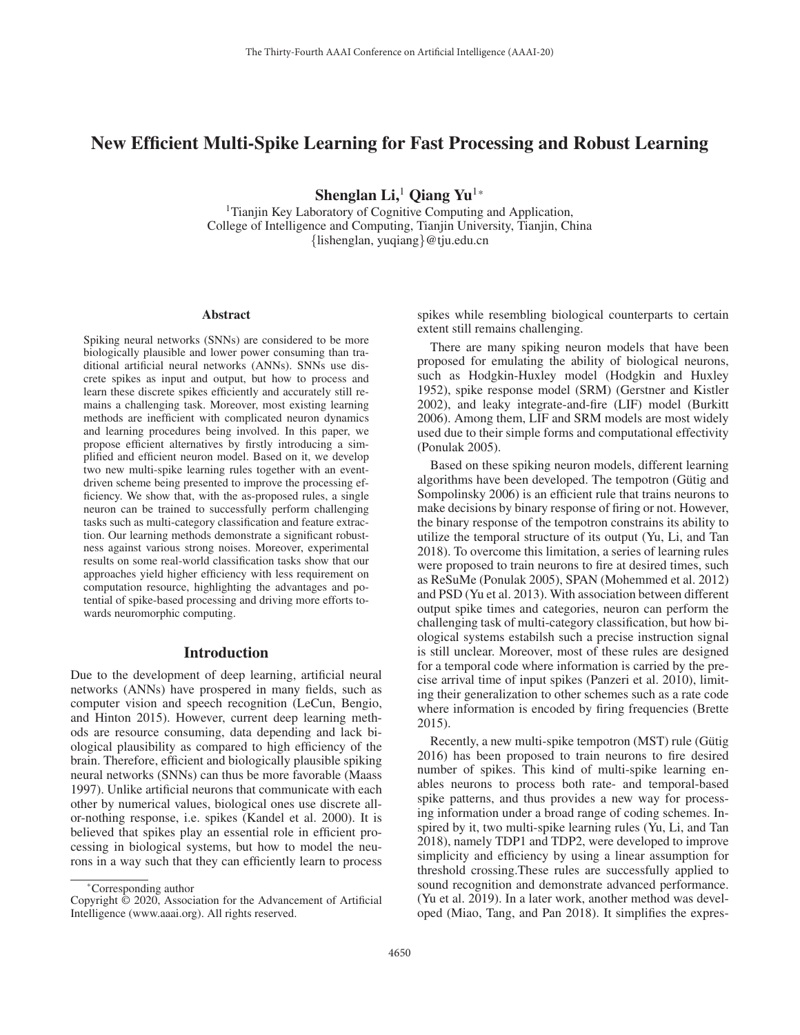# New Efficient Multi-Spike Learning for Fast Processing and Robust Learning

Shenglan Li,<sup>1</sup> Qiang Yu<sup>1\*</sup>

<sup>1</sup>Tianjin Key Laboratory of Cognitive Computing and Application, College of Intelligence and Computing, Tianjin University, Tianjin, China {lishenglan, yuqiang}@tju.edu.cn

#### Abstract

Spiking neural networks (SNNs) are considered to be more biologically plausible and lower power consuming than traditional artificial neural networks (ANNs). SNNs use discrete spikes as input and output, but how to process and learn these discrete spikes efficiently and accurately still remains a challenging task. Moreover, most existing learning methods are inefficient with complicated neuron dynamics and learning procedures being involved. In this paper, we propose efficient alternatives by firstly introducing a simplified and efficient neuron model. Based on it, we develop two new multi-spike learning rules together with an eventdriven scheme being presented to improve the processing efficiency. We show that, with the as-proposed rules, a single neuron can be trained to successfully perform challenging tasks such as multi-category classification and feature extraction. Our learning methods demonstrate a significant robustness against various strong noises. Moreover, experimental results on some real-world classification tasks show that our approaches yield higher efficiency with less requirement on computation resource, highlighting the advantages and potential of spike-based processing and driving more efforts towards neuromorphic computing.

## Introduction

Due to the development of deep learning, artificial neural networks (ANNs) have prospered in many fields, such as computer vision and speech recognition (LeCun, Bengio, and Hinton 2015). However, current deep learning methods are resource consuming, data depending and lack biological plausibility as compared to high efficiency of the brain. Therefore, efficient and biologically plausible spiking neural networks (SNNs) can thus be more favorable (Maass 1997). Unlike artificial neurons that communicate with each other by numerical values, biological ones use discrete allor-nothing response, i.e. spikes (Kandel et al. 2000). It is believed that spikes play an essential role in efficient processing in biological systems, but how to model the neurons in a way such that they can efficiently learn to process

spikes while resembling biological counterparts to certain extent still remains challenging.

There are many spiking neuron models that have been proposed for emulating the ability of biological neurons, such as Hodgkin-Huxley model (Hodgkin and Huxley 1952), spike response model (SRM) (Gerstner and Kistler 2002), and leaky integrate-and-fire (LIF) model (Burkitt 2006). Among them, LIF and SRM models are most widely used due to their simple forms and computational effectivity (Ponulak 2005).

Based on these spiking neuron models, different learning algorithms have been developed. The tempotron (Gütig and Sompolinsky 2006) is an efficient rule that trains neurons to make decisions by binary response of firing or not. However, the binary response of the tempotron constrains its ability to utilize the temporal structure of its output (Yu, Li, and Tan 2018). To overcome this limitation, a series of learning rules were proposed to train neurons to fire at desired times, such as ReSuMe (Ponulak 2005), SPAN (Mohemmed et al. 2012) and PSD (Yu et al. 2013). With association between different output spike times and categories, neuron can perform the challenging task of multi-category classification, but how biological systems estabilsh such a precise instruction signal is still unclear. Moreover, most of these rules are designed for a temporal code where information is carried by the precise arrival time of input spikes (Panzeri et al. 2010), limiting their generalization to other schemes such as a rate code where information is encoded by firing frequencies (Brette 2015).

Recently, a new multi-spike tempotron (MST) rule (Gütig 2016) has been proposed to train neurons to fire desired number of spikes. This kind of multi-spike learning enables neurons to process both rate- and temporal-based spike patterns, and thus provides a new way for processing information under a broad range of coding schemes. Inspired by it, two multi-spike learning rules (Yu, Li, and Tan 2018), namely TDP1 and TDP2, were developed to improve simplicity and efficiency by using a linear assumption for threshold crossing.These rules are successfully applied to sound recognition and demonstrate advanced performance. (Yu et al. 2019). In a later work, another method was developed (Miao, Tang, and Pan 2018). It simplifies the expres-

<sup>\*</sup>Corresponding author

Copyright © 2020, Association for the Advancement of Artificial Intelligence (www.aaai.org). All rights reserved.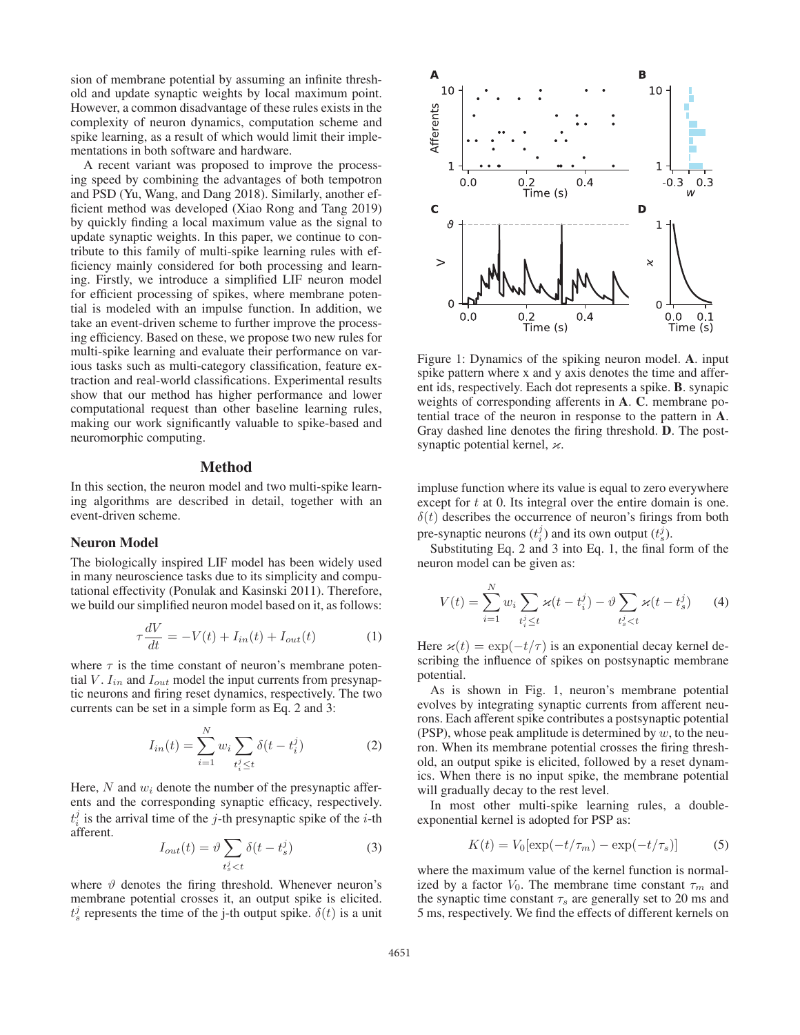sion of membrane potential by assuming an infinite threshold and update synaptic weights by local maximum point. However, a common disadvantage of these rules exists in the complexity of neuron dynamics, computation scheme and spike learning, as a result of which would limit their implementations in both software and hardware.

A recent variant was proposed to improve the processing speed by combining the advantages of both tempotron and PSD (Yu, Wang, and Dang 2018). Similarly, another efficient method was developed (Xiao Rong and Tang 2019) by quickly finding a local maximum value as the signal to update synaptic weights. In this paper, we continue to contribute to this family of multi-spike learning rules with efficiency mainly considered for both processing and learning. Firstly, we introduce a simplified LIF neuron model for efficient processing of spikes, where membrane potential is modeled with an impulse function. In addition, we take an event-driven scheme to further improve the processing efficiency. Based on these, we propose two new rules for multi-spike learning and evaluate their performance on various tasks such as multi-category classification, feature extraction and real-world classifications. Experimental results show that our method has higher performance and lower computational request than other baseline learning rules, making our work significantly valuable to spike-based and neuromorphic computing.

### Method

In this section, the neuron model and two multi-spike learning algorithms are described in detail, together with an event-driven scheme.

## Neuron Model

The biologically inspired LIF model has been widely used in many neuroscience tasks due to its simplicity and computational effectivity (Ponulak and Kasinski 2011). Therefore, we build our simplified neuron model based on it, as follows:

$$
\tau \frac{dV}{dt} = -V(t) + I_{in}(t) + I_{out}(t)
$$
\n(1)

where  $\tau$  is the time constant of neuron's membrane potential V.  $I_{in}$  and  $I_{out}$  model the input currents from presynaptic neurons and firing reset dynamics, respectively. The two currents can be set in a simple form as Eq. 2 and 3:

$$
I_{in}(t) = \sum_{i=1}^{N} w_i \sum_{t_i^j \le t} \delta(t - t_i^j)
$$
 (2)

Here, N and  $w_i$  denote the number of the presynaptic afferents and the corresponding synaptic efficacy, respectively.  $t_i^j$  is the arrival time of the j-th presynaptic spike of the i-th afferent.

$$
I_{out}(t) = \vartheta \sum_{t_s^j < t} \delta(t - t_s^j) \tag{3}
$$

where  $\vartheta$  denotes the firing threshold. Whenever neuron's membrane potential crosses it, an output spike is elicited.  $t_s^j$  represents the time of the j-th output spike.  $\delta(t)$  is a unit



Figure 1: Dynamics of the spiking neuron model. A. input spike pattern where x and y axis denotes the time and afferent ids, respectively. Each dot represents a spike. B. synapic weights of corresponding afferents in A. C. membrane potential trace of the neuron in response to the pattern in A. Gray dashed line denotes the firing threshold. D. The postsynaptic potential kernel,  $\varkappa$ .

impluse function where its value is equal to zero everywhere except for  $t$  at 0. Its integral over the entire domain is one.  $\delta(t)$  describes the occurrence of neuron's firings from both pre-synaptic neurons  $(t_i^j)$  and its own output  $(t_s^j)$ .

Substituting Eq. 2 and 3 into Eq. 1, the final form of the neuron model can be given as:

$$
V(t) = \sum_{i=1}^{N} w_i \sum_{t_i^j \le t} \varkappa(t - t_i^j) - \vartheta \sum_{t_s^j < t} \varkappa(t - t_s^j) \tag{4}
$$

Here  $\varkappa(t) = \exp(-t/\tau)$  is an exponential decay kernel describing the influence of spikes on postsynaptic membrane potential.

As is shown in Fig. 1, neuron's membrane potential evolves by integrating synaptic currents from afferent neurons. Each afferent spike contributes a postsynaptic potential (PSP), whose peak amplitude is determined by  $w$ , to the neuron. When its membrane potential crosses the firing threshold, an output spike is elicited, followed by a reset dynamics. When there is no input spike, the membrane potential will gradually decay to the rest level.

In most other multi-spike learning rules, a doubleexponential kernel is adopted for PSP as:

$$
K(t) = V_0[\exp(-t/\tau_m) - \exp(-t/\tau_s)] \tag{5}
$$

where the maximum value of the kernel function is normalized by a factor  $V_0$ . The membrane time constant  $\tau_m$  and the synaptic time constant  $\tau_s$  are generally set to 20 ms and 5 ms, respectively. We find the effects of different kernels on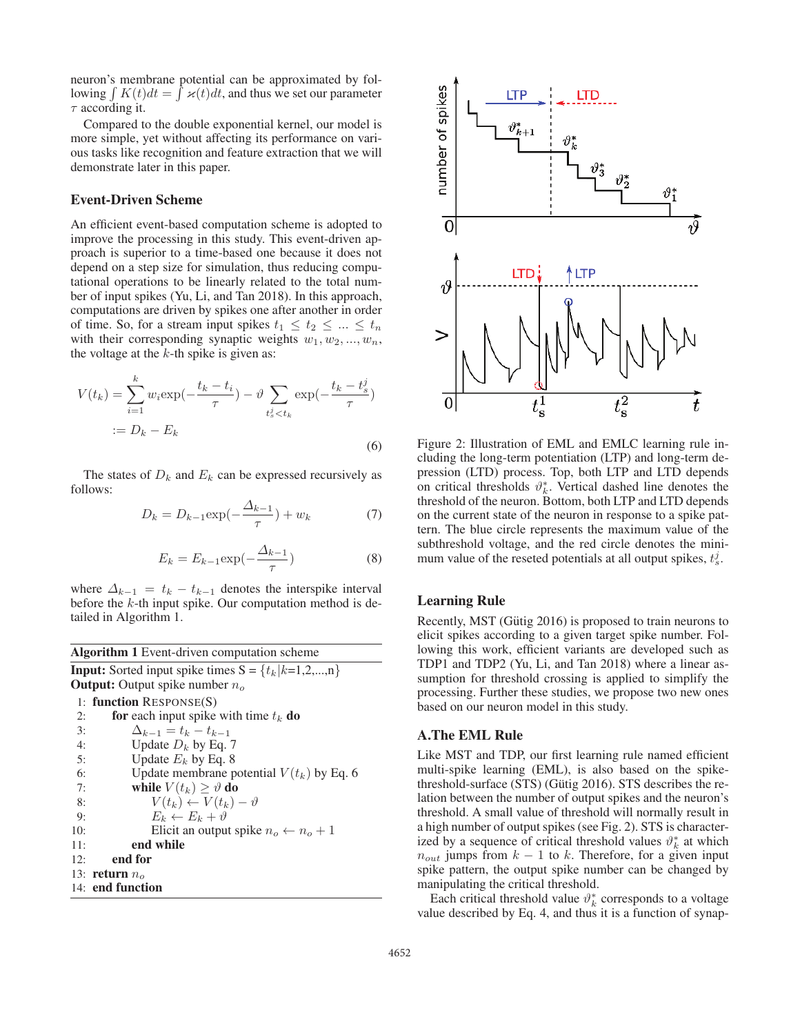neuron's membrane potential can be approximated by following  $\int K(t)dt = \int \varkappa(t)dt$ , and thus we set our parameter  $\tau$  according it.

Compared to the double exponential kernel, our model is more simple, yet without affecting its performance on various tasks like recognition and feature extraction that we will demonstrate later in this paper.

## Event-Driven Scheme

An efficient event-based computation scheme is adopted to improve the processing in this study. This event-driven approach is superior to a time-based one because it does not depend on a step size for simulation, thus reducing computational operations to be linearly related to the total number of input spikes (Yu, Li, and Tan 2018). In this approach, computations are driven by spikes one after another in order of time. So, for a stream input spikes  $t_1 \leq t_2 \leq ... \leq t_n$ with their corresponding synaptic weights  $w_1, w_2, ..., w_n$ , the voltage at the  $k$ -th spike is given as:

$$
V(t_k) = \sum_{i=1}^{k} w_i \exp(-\frac{t_k - t_i}{\tau}) - \vartheta \sum_{t_s^j < t_k} \exp(-\frac{t_k - t_s^j}{\tau})
$$
\n
$$
:= D_k - E_k \tag{6}
$$

The states of  $D_k$  and  $E_k$  can be expressed recursively as follows:

$$
D_k = D_{k-1} \exp(-\frac{\Delta_{k-1}}{\tau}) + w_k
$$
 (7)

$$
E_k = E_{k-1} \exp\left(-\frac{\Delta_{k-1}}{\tau}\right) \tag{8}
$$

where  $\Delta_{k-1} = t_k - t_{k-1}$  denotes the interspike interval before the  $k$ -th input spike. Our computation method is detailed in Algorithm 1.

| <b>Algorithm 1</b> Event-driven computation scheme              |  |  |  |  |  |  |
|-----------------------------------------------------------------|--|--|--|--|--|--|
| <b>Input:</b> Sorted input spike times $S = \{t_k   k=1,2,,n\}$ |  |  |  |  |  |  |
| <b>Output:</b> Output spike number $n_o$                        |  |  |  |  |  |  |
| 1: function $RESPONSE(S)$                                       |  |  |  |  |  |  |
| for each input spike with time $t_k$ do                         |  |  |  |  |  |  |
| $\Delta_{k-1} = t_k - t_{k-1}$                                  |  |  |  |  |  |  |
| Update $D_k$ by Eq. 7                                           |  |  |  |  |  |  |
| Update $E_k$ by Eq. 8                                           |  |  |  |  |  |  |
| Update membrane potential $V(t_k)$ by Eq. 6                     |  |  |  |  |  |  |
| while $V(t_k) \geq \vartheta$ do                                |  |  |  |  |  |  |
| $V(t_k) \leftarrow V(t_k) - \vartheta$                          |  |  |  |  |  |  |
| $E_k \leftarrow E_k + \vartheta$                                |  |  |  |  |  |  |
| Elicit an output spike $n_o \leftarrow n_o + 1$                 |  |  |  |  |  |  |
| end while                                                       |  |  |  |  |  |  |
| end for                                                         |  |  |  |  |  |  |
| 13: return $no$                                                 |  |  |  |  |  |  |
| 14: end function                                                |  |  |  |  |  |  |
|                                                                 |  |  |  |  |  |  |



Figure 2: Illustration of EML and EMLC learning rule including the long-term potentiation (LTP) and long-term depression (LTD) process. Top, both LTP and LTD depends on critical thresholds  $\vartheta_k^*$ . Vertical dashed line denotes the threshold of the neuron. Bottom, both LTP and LTD depends on the current state of the neuron in response to a spike pattern. The blue circle represents the maximum value of the subthreshold voltage, and the red circle denotes the minimum value of the reseted potentials at all output spikes,  $t_s^j$ .

### Learning Rule

Recently, MST (Gütig 2016) is proposed to train neurons to elicit spikes according to a given target spike number. Following this work, efficient variants are developed such as TDP1 and TDP2 (Yu, Li, and Tan 2018) where a linear assumption for threshold crossing is applied to simplify the processing. Further these studies, we propose two new ones based on our neuron model in this study.

## A.The EML Rule

Like MST and TDP, our first learning rule named efficient multi-spike learning (EML), is also based on the spikethreshold-surface  $(STS)$  (Gütig 2016). STS describes the relation between the number of output spikes and the neuron's threshold. A small value of threshold will normally result in a high number of output spikes (see Fig. 2). STS is characterized by a sequence of critical threshold values  $\vartheta_k^*$  at which  $n_{out}$  jumps from  $k - 1$  to k. Therefore, for a given input spike pattern, the output spike number can be changed by manipulating the critical threshold.

Each critical threshold value  $\vartheta_k^*$  corresponds to a voltage value described by Eq. 4, and thus it is a function of synap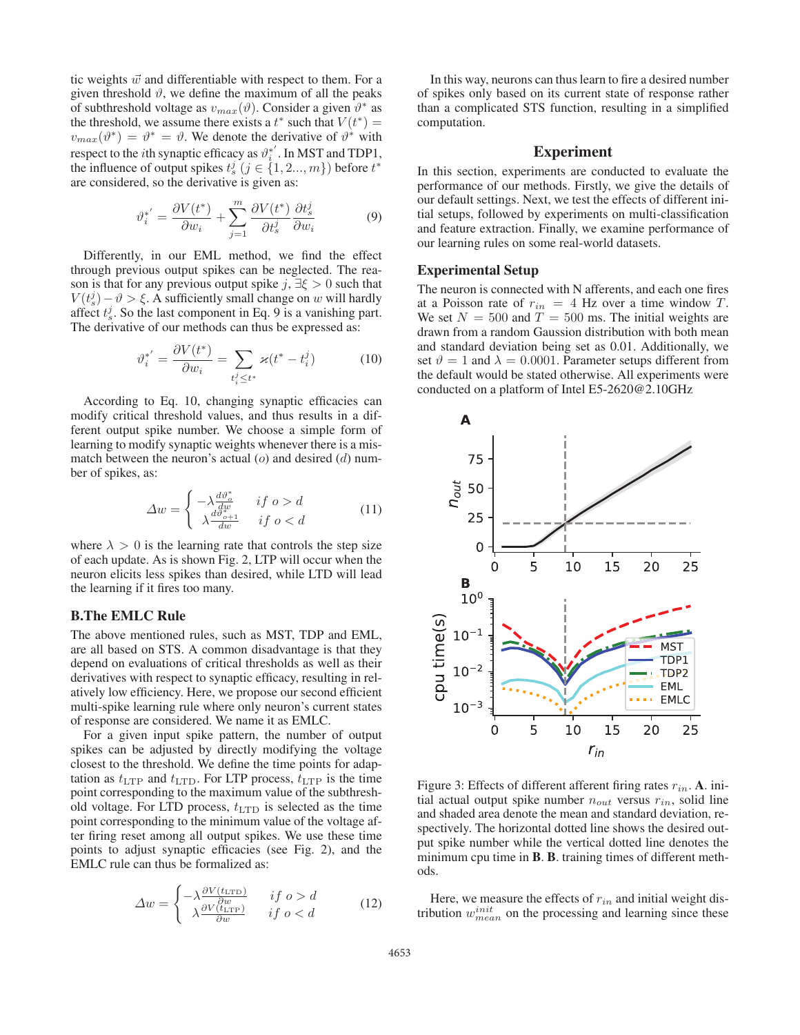tic weights  $\vec{w}$  and differentiable with respect to them. For a given threshold  $\vartheta$ , we define the maximum of all the peaks of subthreshold voltage as  $v_{max}(\vartheta)$ . Consider a given  $\vartheta^*$  as the threshold, we assume there exists a  $t^*$  such that  $V(t^*) =$  $v_{max}(\vartheta^*) = \vartheta^* = \vartheta$ . We denote the derivative of  $\vartheta^*$  with respect to the *i*th synaptic efficacy as  $\vartheta_i^{*'}$ . In MST and TDP1, the influence of output spikes  $t_s^j$   $(j \in \{1, 2, ..., m\})$  before  $t^*$ are considered, so the derivative is given as:

$$
\vartheta_i^{*'} = \frac{\partial V(t^*)}{\partial w_i} + \sum_{j=1}^m \frac{\partial V(t^*)}{\partial t_s^j} \frac{\partial t_s^j}{\partial w_i}
$$
(9)

Differently, in our EML method, we find the effect through previous output spikes can be neglected. The reason is that for any previous output spike j,  $\exists \xi > 0$  such that  $V(t_s^j) - \vartheta > \xi$ . A sufficiently small change on w will hardly affect  $t_s^j$ . So the last component in Eq. 9 is a vanishing part. The derivative of our methods can thus be expressed as:

$$
\vartheta_i^{*'} = \frac{\partial V(t^*)}{\partial w_i} = \sum_{t_i^j \le t^*} \varkappa(t^* - t_i^j)
$$
(10)

According to Eq. 10, changing synaptic efficacies can modify critical threshold values, and thus results in a different output spike number. We choose a simple form of learning to modify synaptic weights whenever there is a mismatch between the neuron's actual  $(o)$  and desired  $(d)$  number of spikes, as:

$$
\Delta w = \begin{cases}\n-\lambda \frac{d\vartheta_{\phi}^{*}}{dw} & \text{if } o > d \\
\lambda \frac{d\vartheta_{o+1}^{*}}{dw} & \text{if } o < d\n\end{cases}
$$
\n(11)

where  $\lambda > 0$  is the learning rate that controls the step size of each update. As is shown Fig. 2, LTP will occur when the neuron elicits less spikes than desired, while LTD will lead the learning if it fires too many.

#### B.The EMLC Rule

The above mentioned rules, such as MST, TDP and EML, are all based on STS. A common disadvantage is that they depend on evaluations of critical thresholds as well as their derivatives with respect to synaptic efficacy, resulting in relatively low efficiency. Here, we propose our second efficient multi-spike learning rule where only neuron's current states of response are considered. We name it as EMLC.

For a given input spike pattern, the number of output spikes can be adjusted by directly modifying the voltage closest to the threshold. We define the time points for adaptation as  $t_{\text{LTP}}$  and  $t_{\text{LTD}}$ . For LTP process,  $t_{\text{LTP}}$  is the time point corresponding to the maximum value of the subthreshold voltage. For LTD process,  $t_{\text{LTD}}$  is selected as the time point corresponding to the minimum value of the voltage after firing reset among all output spikes. We use these time points to adjust synaptic efficacies (see Fig. 2), and the EMLC rule can thus be formalized as:

$$
\Delta w = \begin{cases}\n-\lambda \frac{\partial V(t_{\text{LTP}})}{\partial w} & \text{if } o > d \\
\lambda \frac{\partial V(t_{\text{LTP}})}{\partial w} & \text{if } o < d\n\end{cases}\n\tag{12}
$$

In this way, neurons can thus learn to fire a desired number of spikes only based on its current state of response rather than a complicated STS function, resulting in a simplified computation.

## Experiment

In this section, experiments are conducted to evaluate the performance of our methods. Firstly, we give the details of our default settings. Next, we test the effects of different initial setups, followed by experiments on multi-classification and feature extraction. Finally, we examine performance of our learning rules on some real-world datasets.

#### Experimental Setup

The neuron is connected with N afferents, and each one fires at a Poisson rate of  $r_{in} = 4$  Hz over a time window T. We set  $N = 500$  and  $T = 500$  ms. The initial weights are drawn from a random Gaussion distribution with both mean and standard deviation being set as 0.01. Additionally, we set  $\vartheta = 1$  and  $\lambda = 0.0001$ . Parameter setups different from the default would be stated otherwise. All experiments were conducted on a platform of Intel E5-2620@2.10GHz



Figure 3: Effects of different afferent firing rates  $r_{in}$ . A. initial actual output spike number  $n_{out}$  versus  $r_{in}$ , solid line and shaded area denote the mean and standard deviation, respectively. The horizontal dotted line shows the desired output spike number while the vertical dotted line denotes the minimum cpu time in **B**. **B**. training times of different methods.

Here, we measure the effects of  $r_{in}$  and initial weight distribution  $w_{mean}^{init}$  on the processing and learning since these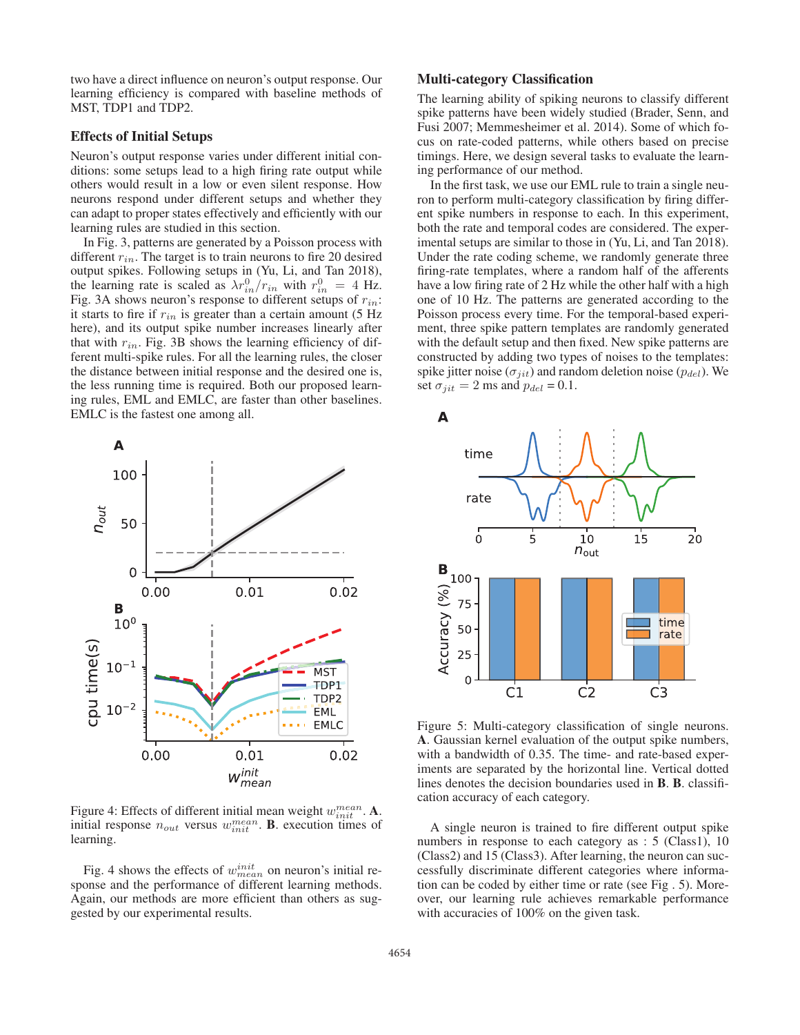two have a direct influence on neuron's output response. Our learning efficiency is compared with baseline methods of MST, TDP1 and TDP2.

## Effects of Initial Setups

Neuron's output response varies under different initial conditions: some setups lead to a high firing rate output while others would result in a low or even silent response. How neurons respond under different setups and whether they can adapt to proper states effectively and efficiently with our learning rules are studied in this section.

In Fig. 3, patterns are generated by a Poisson process with different  $r_{in}$ . The target is to train neurons to fire 20 desired output spikes. Following setups in (Yu, Li, and Tan 2018), the learning rate is scaled as  $\lambda r_{in}^0/r_{in}$  with  $r_{in}^0 = 4$  Hz. Fig. 3A shows neuron's response to different setups of  $r_{in}$ : it starts to fire if  $r_{in}$  is greater than a certain amount (5 Hz here), and its output spike number increases linearly after that with  $r_{in}$ . Fig. 3B shows the learning efficiency of different multi-spike rules. For all the learning rules, the closer the distance between initial response and the desired one is, the less running time is required. Both our proposed learning rules, EML and EMLC, are faster than other baselines. EMLC is the fastest one among all.



Figure 4: Effects of different initial mean weight  $w_{init}^{mean}$ . A. initial response  $n_{out}$  versus  $w_{init}^{mean}$ . **B**. execution times of learning.

Fig. 4 shows the effects of  $w_{mean}^{init}$  on neuron's initial response and the performance of different learning methods. Again, our methods are more efficient than others as suggested by our experimental results.

## Multi-category Classification

The learning ability of spiking neurons to classify different spike patterns have been widely studied (Brader, Senn, and Fusi 2007; Memmesheimer et al. 2014). Some of which focus on rate-coded patterns, while others based on precise timings. Here, we design several tasks to evaluate the learning performance of our method.

In the first task, we use our EML rule to train a single neuron to perform multi-category classification by firing different spike numbers in response to each. In this experiment, both the rate and temporal codes are considered. The experimental setups are similar to those in (Yu, Li, and Tan 2018). Under the rate coding scheme, we randomly generate three firing-rate templates, where a random half of the afferents have a low firing rate of 2 Hz while the other half with a high one of 10 Hz. The patterns are generated according to the Poisson process every time. For the temporal-based experiment, three spike pattern templates are randomly generated with the default setup and then fixed. New spike patterns are constructed by adding two types of noises to the templates: spike jitter noise ( $\sigma_{iit}$ ) and random deletion noise ( $p_{del}$ ). We set  $\sigma_{jit} = 2$  ms and  $p_{del} = 0.1$ .



Figure 5: Multi-category classification of single neurons. A. Gaussian kernel evaluation of the output spike numbers, with a bandwidth of 0.35. The time- and rate-based experiments are separated by the horizontal line. Vertical dotted lines denotes the decision boundaries used in B. B. classification accuracy of each category.

A single neuron is trained to fire different output spike numbers in response to each category as : 5 (Class1), 10 (Class2) and 15 (Class3). After learning, the neuron can successfully discriminate different categories where information can be coded by either time or rate (see Fig . 5). Moreover, our learning rule achieves remarkable performance with accuracies of  $100\%$  on the given task.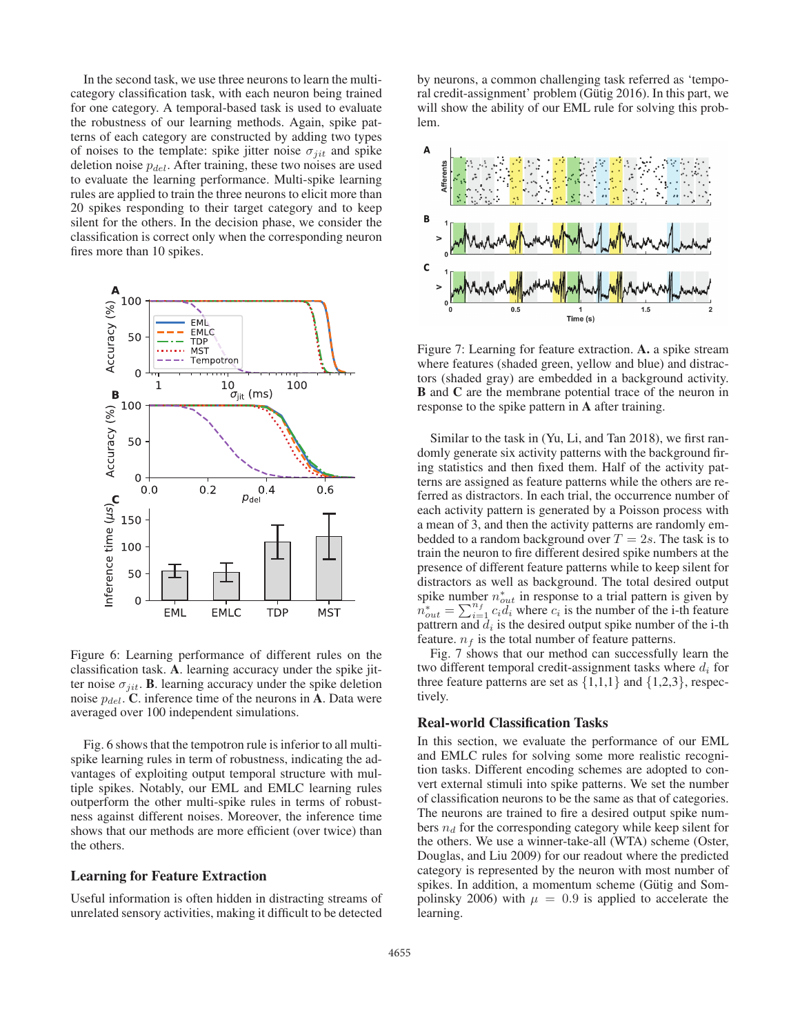In the second task, we use three neurons to learn the multicategory classification task, with each neuron being trained for one category. A temporal-based task is used to evaluate the robustness of our learning methods. Again, spike patterns of each category are constructed by adding two types of noises to the template: spike jitter noise  $\sigma_{ijt}$  and spike deletion noise  $p_{del}$ . After training, these two noises are used to evaluate the learning performance. Multi-spike learning rules are applied to train the three neurons to elicit more than 20 spikes responding to their target category and to keep silent for the others. In the decision phase, we consider the classification is correct only when the corresponding neuron fires more than 10 spikes.



Figure 6: Learning performance of different rules on the classification task. A. learning accuracy under the spike jitter noise  $\sigma_{iit}$ . B. learning accuracy under the spike deletion noise  $p_{del}$ . C. inference time of the neurons in A. Data were averaged over 100 independent simulations.

Fig. 6 shows that the tempotron rule is inferior to all multispike learning rules in term of robustness, indicating the advantages of exploiting output temporal structure with multiple spikes. Notably, our EML and EMLC learning rules outperform the other multi-spike rules in terms of robustness against different noises. Moreover, the inference time shows that our methods are more efficient (over twice) than the others.

## Learning for Feature Extraction

Useful information is often hidden in distracting streams of unrelated sensory activities, making it difficult to be detected

by neurons, a common challenging task referred as 'temporal credit-assignment' problem (Gütig 2016). In this part, we will show the ability of our EML rule for solving this problem.



Figure 7: Learning for feature extraction. A. a spike stream where features (shaded green, yellow and blue) and distractors (shaded gray) are embedded in a background activity. B and C are the membrane potential trace of the neuron in response to the spike pattern in A after training.

Similar to the task in (Yu, Li, and Tan 2018), we first randomly generate six activity patterns with the background firing statistics and then fixed them. Half of the activity patterns are assigned as feature patterns while the others are referred as distractors. In each trial, the occurrence number of each activity pattern is generated by a Poisson process with a mean of 3, and then the activity patterns are randomly embedded to a random background over  $T = 2s$ . The task is to train the neuron to fire different desired spike numbers at the presence of different feature patterns while to keep silent for distractors as well as background. The total desired output spike number  $n_{out}^*$  in response to a trial pattern is given by  $n_{out}^* = \sum_{i=1}^{n_f} c_i d_i$  where  $c_i$  is the number of the i-th feature pattrern and  $d_i$  is the desired output spike number of the i-th feature.  $n_f$  is the total number of feature patterns.

Fig. 7 shows that our method can successfully learn the two different temporal credit-assignment tasks where  $d_i$  for three feature patterns are set as  $\{1,1,1\}$  and  $\{1,2,3\}$ , respectively.

#### Real-world Classification Tasks

In this section, we evaluate the performance of our EML and EMLC rules for solving some more realistic recognition tasks. Different encoding schemes are adopted to convert external stimuli into spike patterns. We set the number of classification neurons to be the same as that of categories. The neurons are trained to fire a desired output spike numbers  $n_d$  for the corresponding category while keep silent for the others. We use a winner-take-all (WTA) scheme (Oster, Douglas, and Liu 2009) for our readout where the predicted category is represented by the neuron with most number of spikes. In addition, a momentum scheme (Gütig and Sompolinsky 2006) with  $\mu = 0.9$  is applied to accelerate the learning.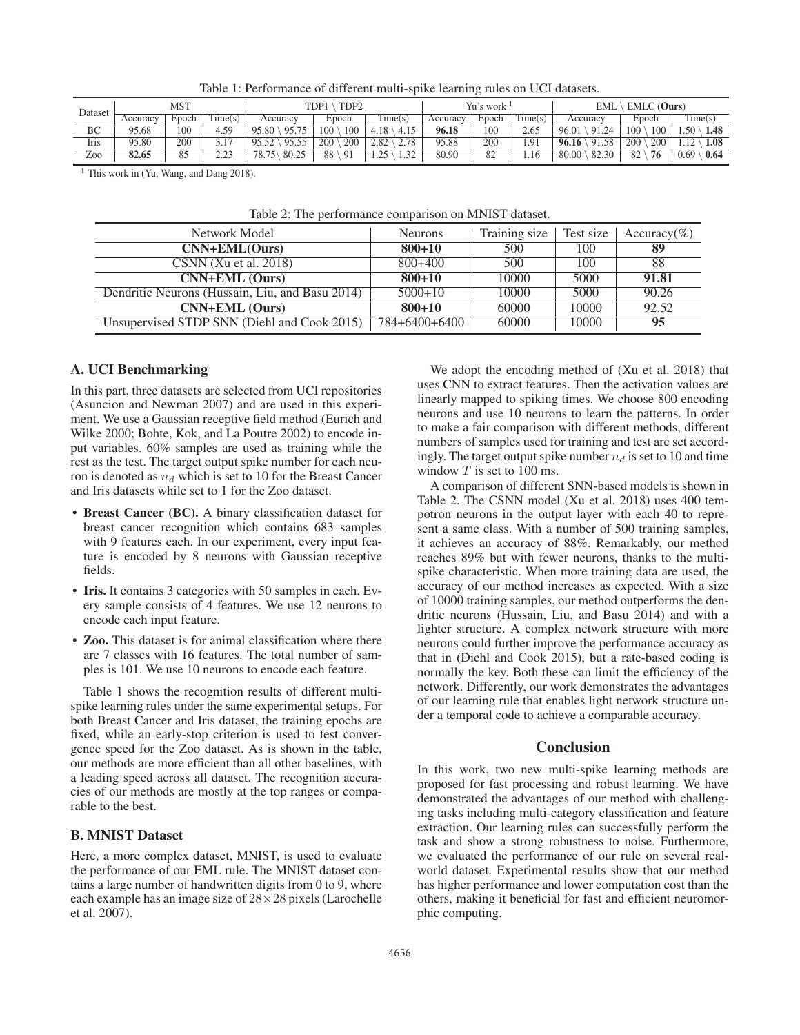| Table 1: Performance of different multi-spike learning rules on UCI datasets. |  |  |  |
|-------------------------------------------------------------------------------|--|--|--|
|                                                                               |  |  |  |

| Dataset | MST      |       | TDP1<br>TDP <sub>2</sub> |                | Yu's work  |             | EMLC (Ours)<br><b>EML</b> |       |         |                                          |            |              |
|---------|----------|-------|--------------------------|----------------|------------|-------------|---------------------------|-------|---------|------------------------------------------|------------|--------------|
|         | Accuracy | Epoch | $T^*$<br>$l$ ime $(s)$   | Accuracv       | Epoch      | Time(s)     | Accuracy                  | Epoch | l'ime(s | Accuracy                                 | Epoch      | Time(s)      |
| BC      | 95.68    | 100   | 4.59                     | 05<br>95.80    | 100<br>100 | 4.18        | 96.18                     | 100   | 2.65    | 91.24<br>96.01                           | 100<br>100 | .50<br>1.48  |
| Iris    | 95.80    | 200   |                          | 0555<br>0552   | 200<br>200 | 278<br>2.82 | 95.88                     | 200   | 1.91    | $1.\overline{58}$<br>96.16<br>$\Omega$ 1 | 200<br>200 | 1.08<br>12   |
| Zoo     | 82.65    | 85    | າາາ                      | 80.25<br>78.75 | 88<br>-91  | 1.32<br>25  | 80.90                     | 82    | 1.16    | 80.00<br>82.30                           | 82<br>76   | 0.69<br>0.64 |

<sup>1</sup> This work in (Yu, Wang, and Dang 2018).

| <b>Neurons</b> | Training size | Test size | Accuracy(%) |
|----------------|---------------|-----------|-------------|
| $800 + 10$     | 500           | 100       | 89          |
| $800+400$      | 500           | 100       | 88          |
| $800 + 10$     | 10000         | 5000      | 91.81       |
| $5000+10$      | 10000         | 5000      | 90.26       |
| $800 + 10$     | 60000         | 10000     | 92.52       |
| 784+6400+6400  | 60000         | 10000     | 95          |
|                |               |           |             |

Table 2: The performance comparison on MNIST dataset.

### A. UCI Benchmarking

In this part, three datasets are selected from UCI repositories (Asuncion and Newman 2007) and are used in this experiment. We use a Gaussian receptive field method (Eurich and Wilke 2000; Bohte, Kok, and La Poutre 2002) to encode input variables. 60% samples are used as training while the rest as the test. The target output spike number for each neuron is denoted as  $n_d$  which is set to 10 for the Breast Cancer and Iris datasets while set to 1 for the Zoo dataset.

- Breast Cancer (BC). A binary classification dataset for breast cancer recognition which contains 683 samples with 9 features each. In our experiment, every input feature is encoded by 8 neurons with Gaussian receptive fields.
- Iris. It contains 3 categories with 50 samples in each. Every sample consists of 4 features. We use 12 neurons to encode each input feature.
- Zoo. This dataset is for animal classification where there are 7 classes with 16 features. The total number of samples is 101. We use 10 neurons to encode each feature.

Table 1 shows the recognition results of different multispike learning rules under the same experimental setups. For both Breast Cancer and Iris dataset, the training epochs are fixed, while an early-stop criterion is used to test convergence speed for the Zoo dataset. As is shown in the table, our methods are more efficient than all other baselines, with a leading speed across all dataset. The recognition accuracies of our methods are mostly at the top ranges or comparable to the best.

## B. MNIST Dataset

Here, a more complex dataset, MNIST, is used to evaluate the performance of our EML rule. The MNIST dataset contains a large number of handwritten digits from 0 to 9, where each example has an image size of  $28 \times 28$  pixels (Larochelle et al. 2007).

We adopt the encoding method of (Xu et al. 2018) that uses CNN to extract features. Then the activation values are linearly mapped to spiking times. We choose 800 encoding neurons and use 10 neurons to learn the patterns. In order to make a fair comparison with different methods, different numbers of samples used for training and test are set accordingly. The target output spike number  $n_d$  is set to 10 and time window  $T$  is set to 100 ms.

A comparison of different SNN-based models is shown in Table 2. The CSNN model (Xu et al. 2018) uses 400 tempotron neurons in the output layer with each 40 to represent a same class. With a number of 500 training samples, it achieves an accuracy of 88%. Remarkably, our method reaches 89% but with fewer neurons, thanks to the multispike characteristic. When more training data are used, the accuracy of our method increases as expected. With a size of 10000 training samples, our method outperforms the dendritic neurons (Hussain, Liu, and Basu 2014) and with a lighter structure. A complex network structure with more neurons could further improve the performance accuracy as that in (Diehl and Cook 2015), but a rate-based coding is normally the key. Both these can limit the efficiency of the network. Differently, our work demonstrates the advantages of our learning rule that enables light network structure under a temporal code to achieve a comparable accuracy.

## **Conclusion**

In this work, two new multi-spike learning methods are proposed for fast processing and robust learning. We have demonstrated the advantages of our method with challenging tasks including multi-category classification and feature extraction. Our learning rules can successfully perform the task and show a strong robustness to noise. Furthermore, we evaluated the performance of our rule on several realworld dataset. Experimental results show that our method has higher performance and lower computation cost than the others, making it beneficial for fast and efficient neuromorphic computing.